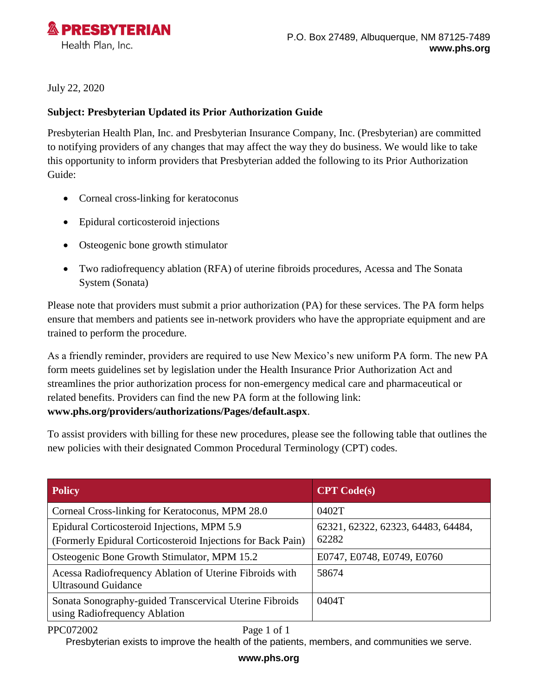

July 22, 2020

## **Subject: Presbyterian Updated its Prior Authorization Guide**

Presbyterian Health Plan, Inc. and Presbyterian Insurance Company, Inc. (Presbyterian) are committed to notifying providers of any changes that may affect the way they do business. We would like to take this opportunity to inform providers that Presbyterian added the following to its Prior Authorization Guide:

- Corneal cross-linking for keratoconus
- Epidural corticosteroid injections
- Osteogenic bone growth stimulator
- Two radiofrequency ablation (RFA) of uterine fibroids procedures, Acessa and The Sonata System (Sonata)

Please note that providers must submit a prior authorization (PA) for these services. The PA form helps ensure that members and patients see in-network providers who have the appropriate equipment and are trained to perform the procedure.

As a friendly reminder, providers are required to use New Mexico's new uniform PA form. The new PA form meets guidelines set by legislation under the Health Insurance Prior Authorization Act and streamlines the prior authorization process for non-emergency medical care and pharmaceutical or related benefits. Providers can find the new PA form at the following link: **[www.phs.org/providers/authorizations/Pages/default.aspx](http://www.phs.org/providers/authorizations/Pages/default.aspx)**.

To assist providers with billing for these new procedures, please see the following table that outlines the new policies with their designated Common Procedural Terminology (CPT) codes.

| <b>Policy</b>                                                                                              | CPT Code(s)                                 |
|------------------------------------------------------------------------------------------------------------|---------------------------------------------|
| Corneal Cross-linking for Keratoconus, MPM 28.0                                                            | 0402T                                       |
| Epidural Corticosteroid Injections, MPM 5.9<br>(Formerly Epidural Corticosteroid Injections for Back Pain) | 62321, 62322, 62323, 64483, 64484,<br>62282 |
| Osteogenic Bone Growth Stimulator, MPM 15.2                                                                | E0747, E0748, E0749, E0760                  |
| Acessa Radiofrequency Ablation of Uterine Fibroids with<br><b>Ultrasound Guidance</b>                      | 58674                                       |
| Sonata Sonography-guided Transcervical Uterine Fibroids<br>using Radiofrequency Ablation                   | 0404T                                       |

PPC072002 Page 1 of 1

Presbyterian exists to improve the health of the patients, members, and communities we serve.